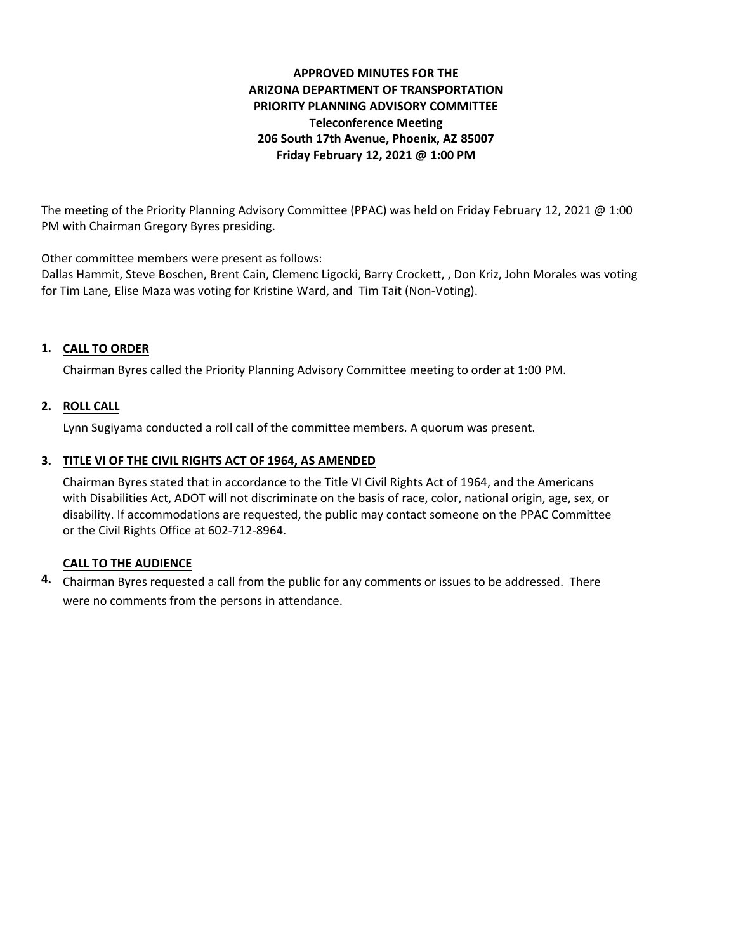# **APPROVED MINUTES FOR THE ARIZONA DEPARTMENT OF TRANSPORTATION PRIORITY PLANNING ADVISORY COMMITTEE Teleconference Meeting 206 South 17th Avenue, Phoenix, AZ 85007 Friday February 12, 2021 @ 1:00 PM**

The meeting of the Priority Planning Advisory Committee (PPAC) was held on Friday February 12, 2021 @ 1:00 PM with Chairman Gregory Byres presiding.

Other committee members were present as follows:

Dallas Hammit, Steve Boschen, Brent Cain, Clemenc Ligocki, Barry Crockett, , Don Kriz, John Morales was voting for Tim Lane, Elise Maza was voting for Kristine Ward, and Tim Tait (Non-Voting).

## **CALL TO ORDER 1.**

Chairman Byres called the Priority Planning Advisory Committee meeting to order at 1:00 PM.

## **ROLL CALL 2.**

Lynn Sugiyama conducted a roll call of the committee members. A quorum was present.

#### **TITLE VI OF THE CIVIL RIGHTS ACT OF 1964, AS AMENDED 3.**

Chairman Byres stated that in accordance to the Title VI Civil Rights Act of 1964, and the Americans with Disabilities Act, ADOT will not discriminate on the basis of race, color, national origin, age, sex, or disability. If accommodations are requested, the public may contact someone on the PPAC Committee or the Civil Rights Office at 602-712-8964.

#### **CALL TO THE AUDIENCE**

Chairman Byres requested a call from the public for any comments or issues to be addressed. There **4.**were no comments from the persons in attendance.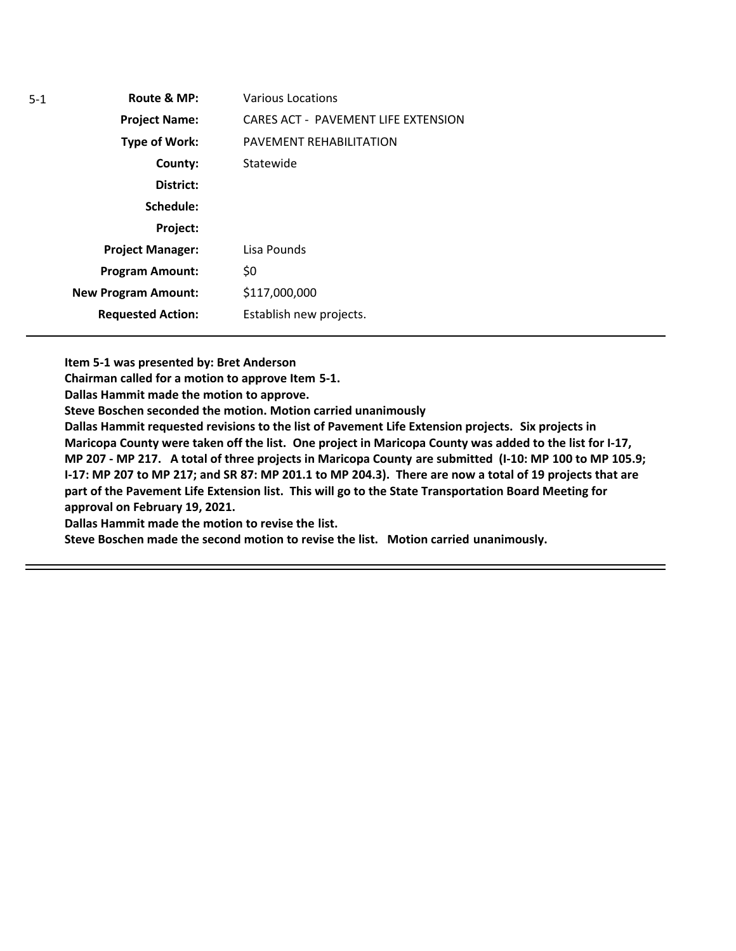**Route & MP: County: District: Schedule: Project Name: Type of Work: Project Manager: Project: Requested Action: New Program Amount: Program Amount:** Various Locations CARES ACT - PAVEMENT LIFE EXTENSION PAVEMENT REHABILITATION Statewide Lisa Pounds \$0 \$117,000,000 Establish new projects.

**Item 5-1 was presented by: Bret Anderson** 

**Chairman called for a motion to approve Item 5-1.**

**Dallas Hammit made the motion to approve.**

**Steve Boschen seconded the motion. Motion carried unanimously**

**Dallas Hammit requested revisions to the list of Pavement Life Extension projects. Six projects in Maricopa County were taken off the list. One project in Maricopa County was added to the list for I-17, MP 207 - MP 217. A total of three projects in Maricopa County are submitted (I-10: MP 100 to MP 105.9; I-17: MP 207 to MP 217; and SR 87: MP 201.1 to MP 204.3). There are now a total of 19 projects that are part of the Pavement Life Extension list. This will go to the State Transportation Board Meeting for approval on February 19, 2021.**

**Dallas Hammit made the motion to revise the list.**

**Steve Boschen made the second motion to revise the list. Motion carried unanimously.**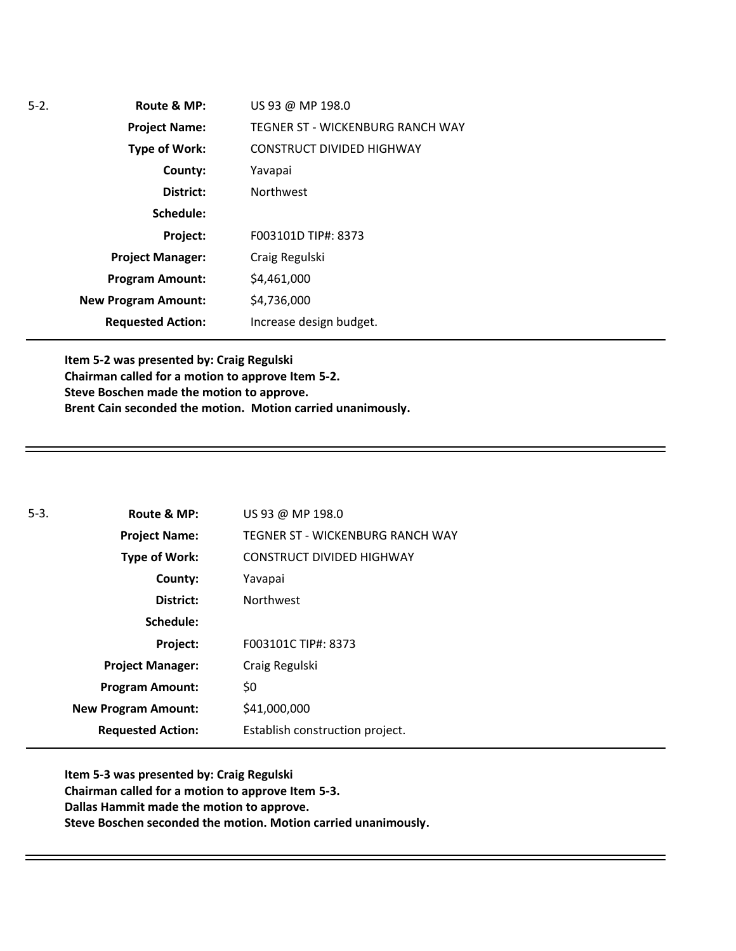| $5-2.$ | Route & MP:                | US 93 @ MP 198.0                 |
|--------|----------------------------|----------------------------------|
|        | <b>Project Name:</b>       | TEGNER ST - WICKENBURG RANCH WAY |
|        | <b>Type of Work:</b>       | <b>CONSTRUCT DIVIDED HIGHWAY</b> |
|        | County:                    | Yavapai                          |
|        | District:                  | <b>Northwest</b>                 |
|        | Schedule:                  |                                  |
|        | Project:                   | F003101D TIP#: 8373              |
|        | <b>Project Manager:</b>    | Craig Regulski                   |
|        | <b>Program Amount:</b>     | \$4,461,000                      |
|        | <b>New Program Amount:</b> | \$4,736,000                      |
|        | <b>Requested Action:</b>   | Increase design budget.          |

**Item 5-2 was presented by: Craig Regulski Chairman called for a motion to approve Item 5-2. Steve Boschen made the motion to approve. Brent Cain seconded the motion. Motion carried unanimously.** 

| $5-3.$ | Route & MP:                | US 93 @ MP 198.0                 |
|--------|----------------------------|----------------------------------|
|        | <b>Project Name:</b>       | TEGNER ST - WICKENBURG RANCH WAY |
|        | <b>Type of Work:</b>       | <b>CONSTRUCT DIVIDED HIGHWAY</b> |
|        | County:                    | Yavapai                          |
|        | District:                  | <b>Northwest</b>                 |
|        | Schedule:                  |                                  |
|        | <b>Project:</b>            | F003101C TIP#: 8373              |
|        | <b>Project Manager:</b>    | Craig Regulski                   |
|        | <b>Program Amount:</b>     | \$0                              |
|        | <b>New Program Amount:</b> | \$41,000,000                     |
|        | <b>Requested Action:</b>   | Establish construction project.  |

**Item 5-3 was presented by: Craig Regulski Chairman called for a motion to approve Item 5-3. Dallas Hammit made the motion to approve. Steve Boschen seconded the motion. Motion carried unanimously.**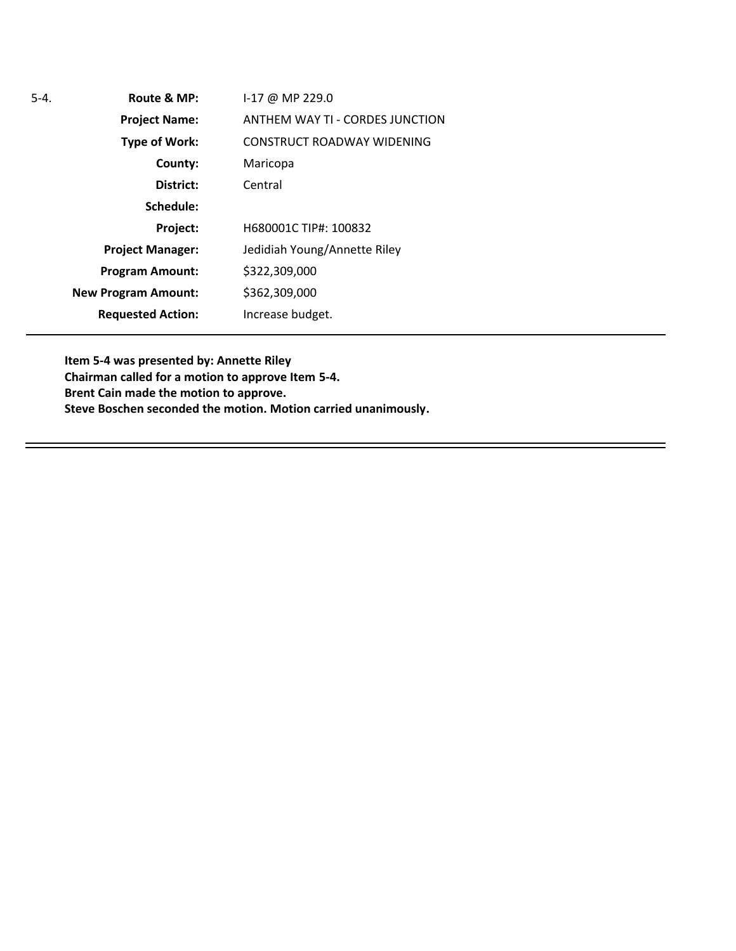| 5-4. | Route & MP:                | $1-17$ @ MP 229.0                      |
|------|----------------------------|----------------------------------------|
|      | <b>Project Name:</b>       | <b>ANTHEM WAY TI - CORDES JUNCTION</b> |
|      | <b>Type of Work:</b>       | <b>CONSTRUCT ROADWAY WIDENING</b>      |
|      | County:                    | Maricopa                               |
|      | District:                  | Central                                |
|      | Schedule:                  |                                        |
|      | Project:                   | H680001C TIP#: 100832                  |
|      | <b>Project Manager:</b>    | Jedidiah Young/Annette Riley           |
|      | <b>Program Amount:</b>     | \$322,309,000                          |
|      | <b>New Program Amount:</b> | \$362,309,000                          |
|      | <b>Requested Action:</b>   | Increase budget.                       |

**Item 5-4 was presented by: Annette Riley Chairman called for a motion to approve Item 5-4. Brent Cain made the motion to approve. Steve Boschen seconded the motion. Motion carried unanimously.**